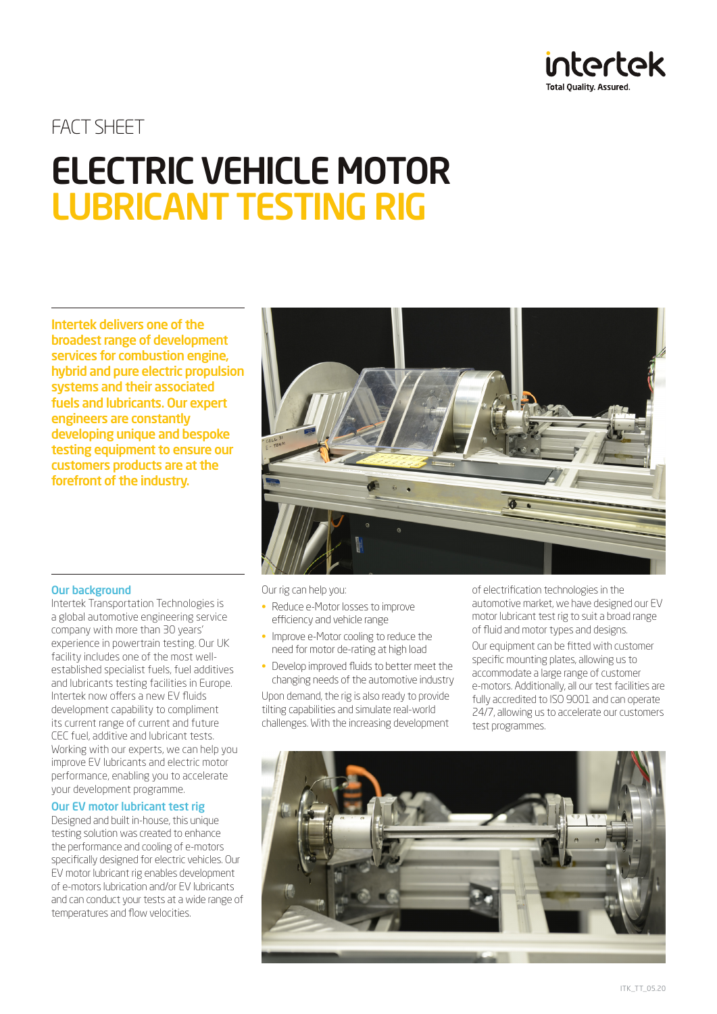

# FACT SHEET ELECTRIC VEHICLE MOTOR LUBRICANT TESTING RIG

Intertek delivers one of the broadest range of development services for combustion engine, hybrid and pure electric propulsion systems and their associated fuels and lubricants. Our expert engineers are constantly developing unique and bespoke testing equipment to ensure our customers products are at the forefront of the industry.



# Our background

Intertek Transportation Technologies is a global automotive engineering service company with more than 30 years' experience in powertrain testing. Our UK facility includes one of the most wellestablished specialist fuels, fuel additives and lubricants testing facilities in Europe. Intertek now offers a new EV fluids development capability to compliment its current range of current and future CEC fuel, additive and lubricant tests. Working with our experts, we can help you improve EV lubricants and electric motor performance, enabling you to accelerate your development programme.

#### Our EV motor lubricant test rig

Designed and built in-house, this unique testing solution was created to enhance the performance and cooling of e-motors specifically designed for electric vehicles. Our EV motor lubricant rig enables development of e-motors lubrication and/or EV lubricants and can conduct your tests at a wide range of temperatures and flow velocities.

Our rig can help you:

- Reduce e-Motor losses to improve efficiency and vehicle range
- Improve e-Motor cooling to reduce the need for motor de-rating at high load
- Develop improved fluids to better meet the changing needs of the automotive industry

Upon demand, the rig is also ready to provide tilting capabilities and simulate real-world challenges. With the increasing development of electrification technologies in the automotive market, we have designed our EV motor lubricant test rig to suit a broad range of fluid and motor types and designs.

Our equipment can be fitted with customer specific mounting plates, allowing us to accommodate a large range of customer e-motors. Additionally, all our test facilities are fully accredited to ISO 9001 and can operate 24/7, allowing us to accelerate our customers test programmes.